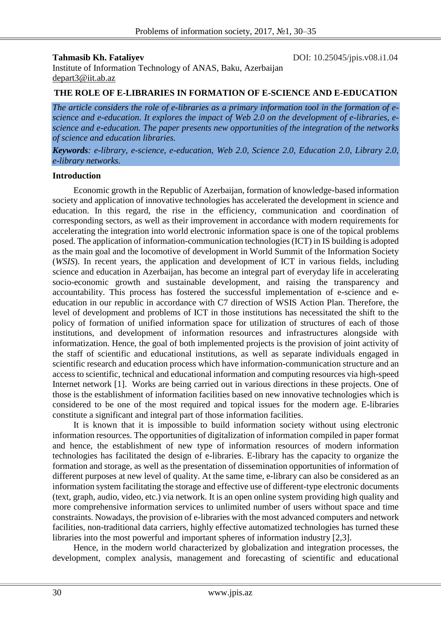**Tahmasib Kh. Fataliyev DOI:** 10.25045/jpis.v08.i1.04

Institute of Information Technology of ANAS, Baku, Azerbaijan depart3@iit.ab.az

## **THE ROLE OF E-LIBRARIES IN FORMATION OF E-SCIENCE AND E-EDUCATION**

*The article considers the role of e-libraries as a primary information tool in the formation of escience and e-education. It explores the impact of Web 2.0 on the development of e-libraries, escience and e-education. The paper presents new opportunities of the integration of the networks of science and education libraries.* 

*Keywords: e-library, e-science, e-education, Web 2.0, Science 2.0, Education 2.0, Library 2.0, e-library networks.*

#### **Introduction**

Economic growth in the Republic of Azerbaijan, formation of knowledge-based information society and application of innovative technologies has accelerated the development in science and education. In this regard, the rise in the efficiency, communication and coordination of corresponding sectors, as well as their improvement in accordance with modern requirements for accelerating the integration into world electronic information space is one of the topical problems posed. The application of information-communication technologies (ICT) in IS building is adopted as the main goal and the locomotive of development in World Summit of the Information Society (*WSIS*). In recent years, the application and development of ICT in various fields, including science and education in Azerbaijan, has become an integral part of everyday life in accelerating socio-economic growth and sustainable development, and raising the transparency and accountability. This process has fostered the successful implementation of e-science and eeducation in our republic in accordance with C7 direction of WSIS Action Plan. Therefore, the level of development and problems of ICT in those institutions has necessitated the shift to the policy of formation of unified information space for utilization of structures of each of those institutions, and development of information resources and infrastructures alongside with informatization. Hence, the goal of both implemented projects is the provision of joint activity of the staff of scientific and educational institutions, as well as separate individuals engaged in scientific research and education process which have information-communication structure and an access to scientific, technical and educational information and computing resources via high-speed Internet network [1]. Works are being carried out in various directions in these projects. One of those is the establishment of information facilities based on new innovative technologies which is considered to be one of the most required and topical issues for the modern age. E-libraries constitute a significant and integral part of those information facilities.

It is known that it is impossible to build information society without using electronic information resources. The opportunities of digitalization of information compiled in paper format and hence, the establishment of new type of information resources of modern information technologies has facilitated the design of e-libraries. E-library has the capacity to organize the formation and storage, as well as the presentation of dissemination opportunities of information of different purposes at new level of quality. At the same time, e-library can also be considered as an information system facilitating the storage and effective use of different-type electronic documents (text, graph, audio, video, etc.) via network. It is an open online system providing high quality and more comprehensive information services to unlimited number of users without space and time constraints. Nowadays, the provision of e-libraries with the most advanced computers and network facilities, non-traditional data carriers, highly effective automatized technologies has turned these libraries into the most powerful and important spheres of information industry [2,3].

Hence, in the modern world characterized by globalization and integration processes, the development, complex analysis, management and forecasting of scientific and educational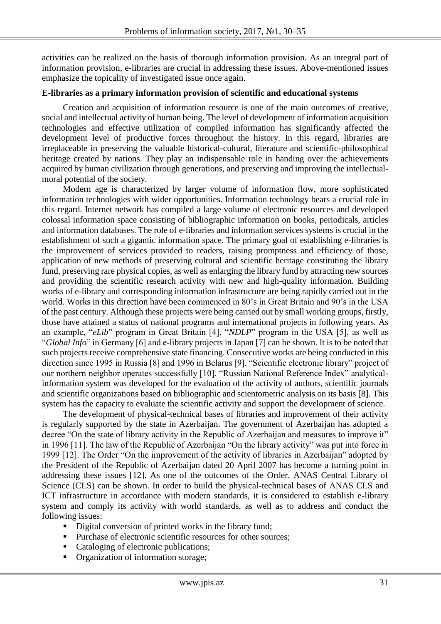activities can be realized on the basis of thorough information provision. As an integral part of information provision, e-libraries are crucial in addressing these issues. Above-mentioned issues emphasize the topicality of investigated issue once again.

#### **E-libraries as a primary information provision of scientific and educational systems**

Creation and acquisition of information resource is one of the main outcomes of creative, social and intellectual activity of human being. The level of development of information acquisition technologies and effective utilization of compiled information has significantly affected the development level of productive forces throughout the history. In this regard, libraries are irreplaceable in preserving the valuable historical-cultural, literature and scientific-philosophical heritage created by nations. They play an indispensable role in handing over the achievements acquired by human civilization through generations, and preserving and improving the intellectualmoral potential of the society.

Modern age is characterized by larger volume of information flow, more sophisticated information technologies with wider opportunities. Information technology bears a crucial role in this regard. Internet network has compiled a large volume of electronic resources and developed colossal information space consisting of bibliographic information on books, periodicals, articles and information databases. The role of e-libraries and information services systems is crucial in the establishment of such a gigantic information space. The primary goal of establishing e-libraries is the improvement of services provided to readers, raising promptness and efficiency of those, application of new methods of preserving cultural and scientific heritage constituting the library fund, preserving rare physical copies, as well as enlarging the library fund by attracting new sources and providing the scientific research activity with new and high-quality information. Building works of e-library and corresponding information infrastructure are being rapidly carried out in the world. Works in this direction have been commenced in 80's in Great Britain and 90's in the USA of the past century. Although these projects were being carried out by small working groups, firstly, those have attained a status of national programs and international projects in following years. As an example, "*eLib*" program in Great Britain [4], "*NDLP*" program in the USA [5], as well as "*Global Info*" in Germany [6] and e-library projects in Japan [7] can be shown. It is to be noted that such projects receive comprehensive state financing. Consecutive works are being conducted in this direction since 1995 in Russia [8] and 1996 in Belarus [9]. "Scientific electronic library" project of our northern neighbor operates successfully [10]. "Russian National Reference Index" analyticalinformation system was developed for the evaluation of the activity of authors, scientific journals and scientific organizations based on bibliographic and scientometric analysis on its basis [8]. This system has the capacity to evaluate the scientific activity and support the development of science.

The development of physical-technical bases of libraries and improvement of their activity is regularly supported by the state in Azerbaijan. The government of Azerbaijan has adopted a decree "On the state of library activity in the Republic of Azerbaijan and measures to improve it" in 1996 [11]. The law of the Republic of Azerbaijan "On the library activity" was put into force in 1999 [12]. The Order "On the improvement of the activity of libraries in Azerbaijan" adopted by the President of the Republic of Azerbaijan dated 20 April 2007 has become a turning point in addressing these issues [12]. As one of the outcomes of the Order, ANAS Central Library of Science (CLS) can be shown. In order to build the physical-technical bases of ANAS CLS and ICT infrastructure in accordance with modern standards, it is considered to establish e-library system and comply its activity with world standards, as well as to address and conduct the following issues:

- Digital conversion of printed works in the library fund;
- Purchase of electronic scientific resources for other sources;
- Cataloging of electronic publications;
- Organization of information storage;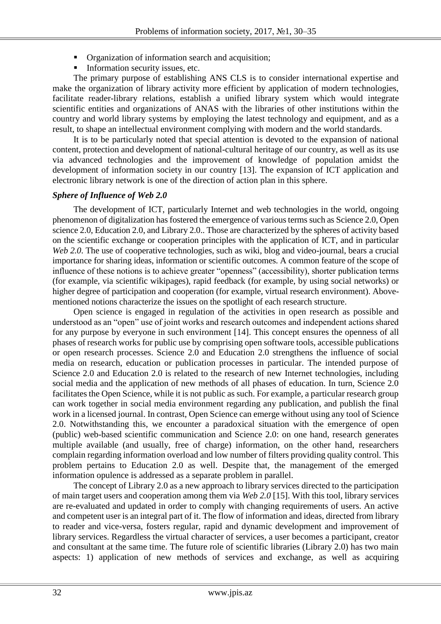- **•** Organization of information search and acquisition;
- Information security issues, etc.

The primary purpose of establishing ANS CLS is to consider international expertise and make the organization of library activity more efficient by application of modern technologies, facilitate reader-library relations, establish a unified library system which would integrate scientific entities and organizations of ANAS with the libraries of other institutions within the country and world library systems by employing the latest technology and equipment, and as a result, to shape an intellectual environment complying with modern and the world standards.

It is to be particularly noted that special attention is devoted to the expansion of national content, protection and development of national-cultural heritage of our country, as well as its use via advanced technologies and the improvement of knowledge of population amidst the development of information society in our country [13]. The expansion of ICT application and electronic library network is one of the direction of action plan in this sphere.

# *Sphere of Influence of Web 2.0*

The development of ICT, particularly Internet and web technologies in the world, ongoing phenomenon of digitalization has fostered the emergence of various terms such as Science 2.0, Open science 2.0, Education 2.0, and Library 2.0.. Those are characterized by the spheres of activity based on the scientific exchange or cooperation principles with the application of ICT, and in particular *Web 2.0*. The use of cooperative technologies, such as wiki, blog and video-journal, bears a crucial importance for sharing ideas, information or scientific outcomes. A common feature of the scope of influence of these notions is to achieve greater "openness" (accessibility), shorter publication terms (for example, via scientific wikipages), rapid feedback (for example, by using social networks) or higher degree of participation and cooperation (for example, virtual research environment). Abovementioned notions characterize the issues on the spotlight of each research structure.

Open science is engaged in regulation of the activities in open research as possible and understood as an "open" use of joint works and research outcomes and independent actions shared for any purpose by everyone in such environment [14]. This concept ensures the openness of all phases of research works for public use by comprising open software tools, accessible publications or open research processes. Science 2.0 and Education 2.0 strengthens the influence of social media on research, education or publication processes in particular. The intended purpose of Science 2.0 and Education 2.0 is related to the research of new Internet technologies, including social media and the application of new methods of all phases of education. In turn, Science 2.0 facilitates the Open Science, while it is not public as such. For example, a particular research group can work together in social media environment regarding any publication, and publish the final work in a licensed journal. In contrast, Open Science can emerge without using any tool of Science 2.0. Notwithstanding this, we encounter a paradoxical situation with the emergence of open (public) web-based scientific communication and Science 2.0: on one hand, research generates multiple available (and usually, free of charge) information, on the other hand, researchers complain regarding information overload and low number of filters providing quality control. This problem pertains to Education 2.0 as well. Despite that, the management of the emerged information opulence is addressed as a separate problem in parallel.

The concept of Library 2.0 as a new approach to library services directed to the participation of main target users and cooperation among them via *Web 2.0* [15]. With this tool, library services are re-evaluated and updated in order to comply with changing requirements of users. An active and competent user is an integral part of it. The flow of information and ideas, directed from library to reader and vice-versa, fosters regular, rapid and dynamic development and improvement of library services. Regardless the virtual character of services, a user becomes a participant, creator and consultant at the same time. The future role of scientific libraries (Library 2.0) has two main aspects: 1) application of new methods of services and exchange, as well as acquiring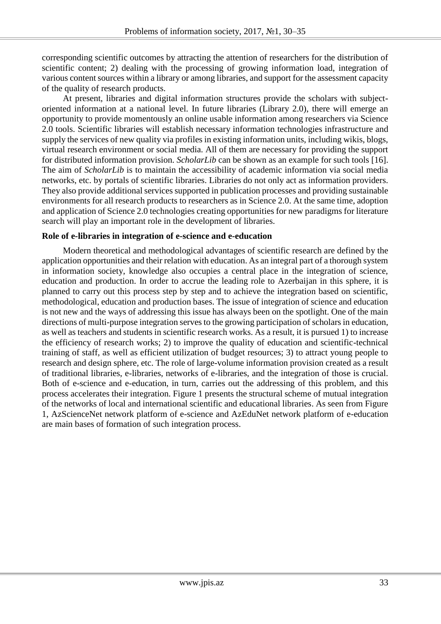corresponding scientific outcomes by attracting the attention of researchers for the distribution of scientific content; 2) dealing with the processing of growing information load, integration of various content sources within a library or among libraries, and support for the assessment capacity of the quality of research products.

At present, libraries and digital information structures provide the scholars with subjectoriented information at a national level. In future libraries (Library 2.0), there will emerge an opportunity to provide momentously an online usable information among researchers via Science 2.0 tools. Scientific libraries will establish necessary information technologies infrastructure and supply the services of new quality via profiles in existing information units, including wikis, blogs, virtual research environment or social media. All of them are necessary for providing the support for distributed information provision. *ScholarLib* can be shown as an example for such tools [16]. The aim of *ScholarLib* is to maintain the accessibility of academic information via social media networks, etc. by portals of scientific libraries. Libraries do not only act as information providers. They also provide additional services supported in publication processes and providing sustainable environments for all research products to researchers as in Science 2.0. At the same time, adoption and application of Science 2.0 technologies creating opportunities for new paradigms for literature search will play an important role in the development of libraries.

## **Role of e-libraries in integration of e-science and e-education**

Modern theoretical and methodological advantages of scientific research are defined by the application opportunities and their relation with education. As an integral part of a thorough system in information society, knowledge also occupies a central place in the integration of science, education and production. In order to accrue the leading role to Azerbaijan in this sphere, it is planned to carry out this process step by step and to achieve the integration based on scientific, methodological, education and production bases. The issue of integration of science and education is not new and the ways of addressing this issue has always been on the spotlight. One of the main directions of multi-purpose integration serves to the growing participation of scholars in education, as well as teachers and students in scientific research works. As a result, it is pursued 1) to increase the efficiency of research works; 2) to improve the quality of education and scientific-technical training of staff, as well as efficient utilization of budget resources; 3) to attract young people to research and design sphere, etc. The role of large-volume information provision created as a result of traditional libraries, e-libraries, networks of e-libraries, and the integration of those is crucial. Both of e-science and e-education, in turn, carries out the addressing of this problem, and this process accelerates their integration. Figure 1 presents the structural scheme of mutual integration of the networks of local and international scientific and educational libraries. As seen from Figure 1, AzScienceNet network platform of e-science and AzEduNet network platform of e-education are main bases of formation of such integration process.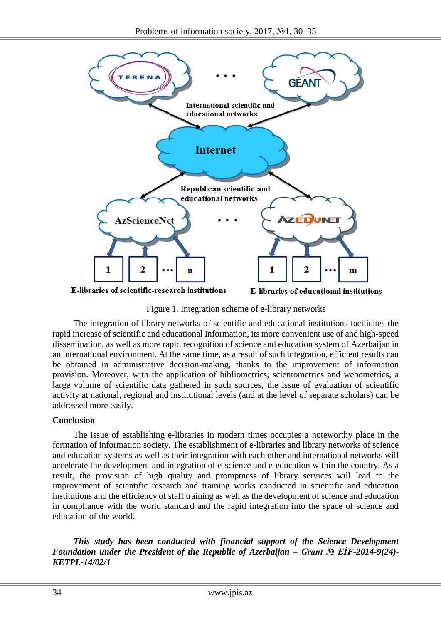

Figure 1. Integration scheme of e-library networks

The integration of library networks of scientific and educational institutions facilitates the rapid increase of scientific and educational Information, its more convenient use of and high-speed dissemination, as well as more rapid recognition of science and education system of Azerbaijan in an international environment. At the same time, as a result of such integration, efficient results can be obtained in administrative decision-making, thanks to the improvement of information provision. Moreover, with the application of bibliometrics, scientometrics and webometrics, a large volume of scientific data gathered in such sources, the issue of evaluation of scientific activity at national, regional and institutional levels (and at the level of separate scholars) can be addressed more easily.

# **Conclusion**

The issue of establishing e-libraries in modern times occupies a noteworthy place in the formation of information society. The establishment of e-libraries and library networks of science and education systems as well as their integration with each other and international networks will accelerate the development and integration of e-science and e-education within the country. As a result, the provision of high quality and promptness of library services will lead to the improvement of scientific research and training works conducted in scientific and education institutions and the efficiency of staff training as well as the development of science and education in compliance with the world standard and the rapid integration into the space of science and education of the world.

*This study has been conducted with financial support of the Science Development Foundation under the President of the Republic of Azerbaijan – Grant № EİF-2014-9(24)- KETPL-14/02/1*